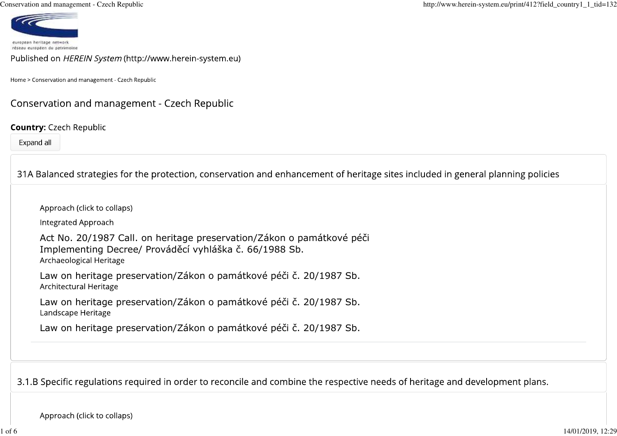Conservation and management - Czech Republic



Published on HEREIN System (http://www.herein-system.eu)

Home > Conservation and management - Czech Republic

# Conservation and management - Czech Republic

#### **Country: Czech Republic**

Expand all

| 31A Balanced strategies for the protection, conservation and enhancement of heritage sites included in general planning policies                           |
|------------------------------------------------------------------------------------------------------------------------------------------------------------|
| Approach (click to collaps)                                                                                                                                |
| Integrated Approach                                                                                                                                        |
| Act No. 20/1987 Call. on heritage preservation/Zákon o památkové péči<br>Implementing Decree/ Prováděcí vyhláška č. 66/1988 Sb.<br>Archaeological Heritage |
| Law on heritage preservation/Zákon o památkové péči č. 20/1987 Sb.<br>Architectural Heritage                                                               |
| Law on heritage preservation/Zákon o památkové péči č. 20/1987 Sb.<br>Landscape Heritage                                                                   |
| Law on heritage preservation/Zákon o památkové péči č. 20/1987 Sb.                                                                                         |
|                                                                                                                                                            |
|                                                                                                                                                            |

3.1.B Specific regulations required in order to reconcile and combine the respective needs of heritage and development plans.

Approach (click to collaps)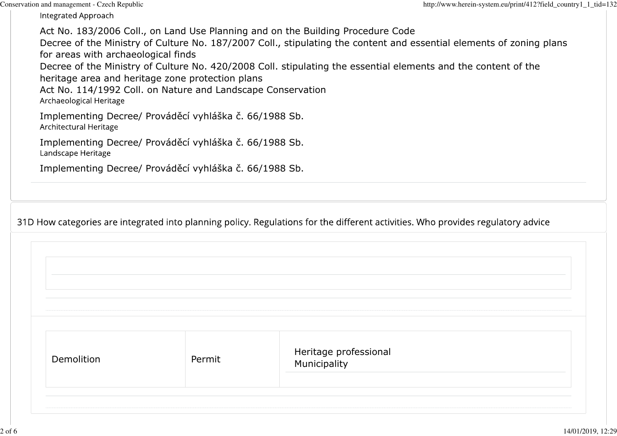Conservation and management - Czech Republic

Integrated Approach

Act No. 183/2006 Coll., on Land Use Planning and on the Building Procedure Code Decree of the Ministry of Culture No. 187/2007 Coll., stipulating the content and essential elements of zoning plansfor areas with archaeological finds Decree of the Ministry of Culture No. 420/2008 Coll. stipulating the essential elements and the content of theheritage area and heritage zone protection plans Act No. 114/1992 Coll. on Nature and Landscape ConservationArchaeological Heritage Implementing Decree/ Prováděcí vyhláška č. 66/1988 Sb.Architectural Heritage

Implementing Decree/ Prováděcí vyhláška č. 66/1988 Sb.Landscape Heritage

Implementing Decree/ Prováděcí vyhláška č. 66/1988 Sb.

31D How categories are integrated into planning policy. Regulations for the different activities. Who provides regulatory advice

| Demolition | Permit | Heritage professional<br>Municipality |
|------------|--------|---------------------------------------|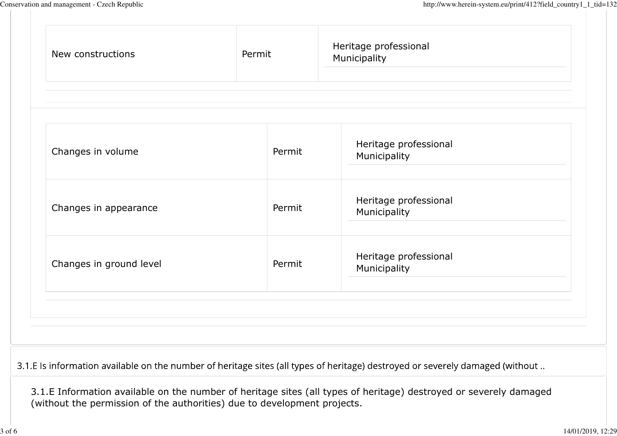|                         |        | Heritage professional |  |
|-------------------------|--------|-----------------------|--|
| Changes in volume       | Permit | Municipality          |  |
|                         |        | Heritage professional |  |
| Changes in appearance   | Permit | Municipality          |  |
|                         |        | Heritage professional |  |
| Changes in ground level | Permit | Municipality          |  |
|                         |        |                       |  |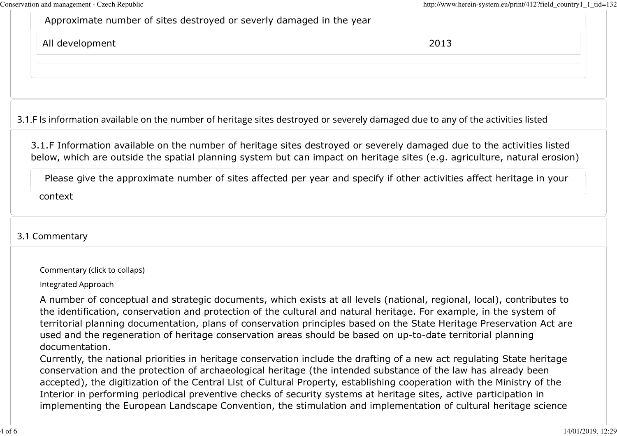| Please give the approximate number of sites affected per year and specify if other activities affect heritage in your<br>context                                                                                                                    |      |
|-----------------------------------------------------------------------------------------------------------------------------------------------------------------------------------------------------------------------------------------------------|------|
| 3.1.F Information available on the number of heritage sites destroyed or severely damaged due to the activities listed<br>below, which are outside the spatial planning system but can impact on heritage sites (e.g. agriculture, natural erosion) |      |
| 3.1.F Is information available on the number of heritage sites destroyed or severely damaged due to any of the activities listed                                                                                                                    |      |
| All development                                                                                                                                                                                                                                     | 2013 |
| Approximate number of sites destroyed or severly damaged in the year                                                                                                                                                                                |      |

A number of conceptual and strategic documents, which exists at all levels (national, regional, local), contributes tothe identification, conservation and protection of the cultural and natural heritage. For example, in the system of territorial planning documentation, plans of conservation principles based on the State Heritage Preservation Act areused and the regeneration of heritage conservation areas should be based on up-to-date territorial planningdocumentation.

 Currently, the national priorities in heritage conservation include the drafting of a new act regulating State heritageconservation and the protection of archaeological heritage (the intended substance of the law has already been accepted), the digitization of the Central List of Cultural Property, establishing cooperation with the Ministry of theInterior in performing periodical preventive checks of security systems at heritage sites, active participation inimplementing the European Landscape Convention, the stimulation and implementation of cultural heritage science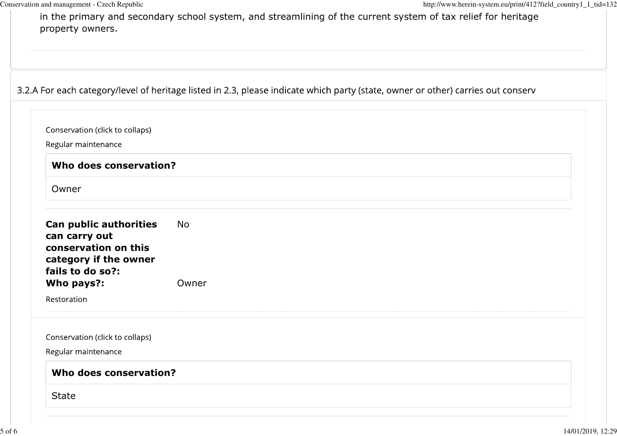in the primary and secondary school system, and streamlining of the current system of tax relief for heritageproperty owners.

|  |  |  |  | 3.2.A For each category/level of heritage listed in 2.3, please indicate which party (state, owner or other) carries out conserv |
|--|--|--|--|----------------------------------------------------------------------------------------------------------------------------------|
|--|--|--|--|----------------------------------------------------------------------------------------------------------------------------------|

| Regular maintenance                                                                                          |       |  |  |  |
|--------------------------------------------------------------------------------------------------------------|-------|--|--|--|
| Who does conservation?                                                                                       |       |  |  |  |
| Owner                                                                                                        |       |  |  |  |
| Can public authorities<br>can carry out<br>conservation on this<br>category if the owner<br>fails to do so?: | No    |  |  |  |
| Who pays?:                                                                                                   | Owner |  |  |  |
| Restoration                                                                                                  |       |  |  |  |
| Conservation (click to collaps)                                                                              |       |  |  |  |
| Regular maintenance                                                                                          |       |  |  |  |
| Who does conservation?                                                                                       |       |  |  |  |
| <b>State</b>                                                                                                 |       |  |  |  |